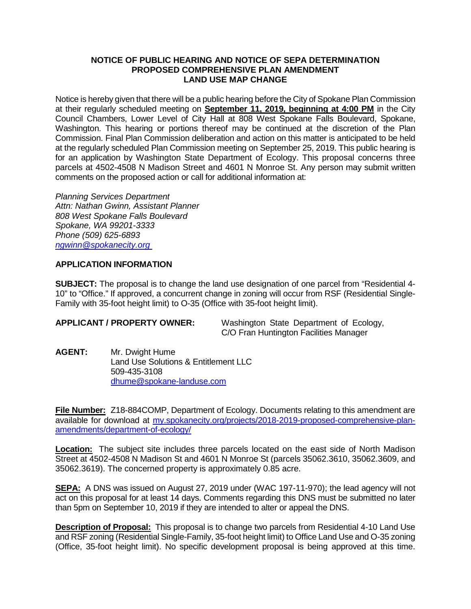## **NOTICE OF PUBLIC HEARING AND NOTICE OF SEPA DETERMINATION PROPOSED COMPREHENSIVE PLAN AMENDMENT LAND USE MAP CHANGE**

Notice is hereby given that there will be a public hearing before the City of Spokane Plan Commission at their regularly scheduled meeting on **September 11, 2019, beginning at 4:00 PM** in the City Council Chambers, Lower Level of City Hall at 808 West Spokane Falls Boulevard, Spokane, Washington. This hearing or portions thereof may be continued at the discretion of the Plan Commission. Final Plan Commission deliberation and action on this matter is anticipated to be held at the regularly scheduled Plan Commission meeting on September 25, 2019. This public hearing is for an application by Washington State Department of Ecology. This proposal concerns three parcels at 4502-4508 N Madison Street and 4601 N Monroe St. Any person may submit written comments on the proposed action or call for additional information at:

*Planning Services Department Attn: Nathan Gwinn, Assistant Planner 808 West Spokane Falls Boulevard Spokane, WA 99201-3333 Phone (509) 625-6893 [ngwinn@spokanecity.org](mailto:ngwinn@spokanecity.org)*

## **APPLICATION INFORMATION**

**SUBJECT:** The proposal is to change the land use designation of one parcel from "Residential 4- 10" to "Office." If approved, a concurrent change in zoning will occur from RSF (Residential Single-Family with 35-foot height limit) to O-35 (Office with 35-foot height limit).

**APPLICANT / PROPERTY OWNER:** Washington State Department of Ecology, C/O Fran Huntington Facilities Manager

**AGENT:** Mr. Dwight Hume Land Use Solutions & Entitlement LLC 509-435-3108 [dhume@spokane-landuse.com](mailto:dhume@spokane-landuse.com)

**File Number:** Z18-884COMP, Department of Ecology. Documents relating to this amendment are available for download at [my.spokanecity.org/projects/2018-2019-proposed-comprehensive-plan](https://my.spokanecity.org/projects/2018-2019-proposed-comprehensive-plan-amendments/department-of-ecology/)[amendments/department-of-ecology/](https://my.spokanecity.org/projects/2018-2019-proposed-comprehensive-plan-amendments/department-of-ecology/)

**Location:** The subject site includes three parcels located on the east side of North Madison Street at 4502-4508 N Madison St and 4601 N Monroe St (parcels 35062.3610, 35062.3609, and 35062.3619). The concerned property is approximately 0.85 acre.

**SEPA:** A DNS was issued on August 27, 2019 under (WAC 197-11-970); the lead agency will not act on this proposal for at least 14 days. Comments regarding this DNS must be submitted no later than 5pm on September 10, 2019 if they are intended to alter or appeal the DNS.

**Description of Proposal:** This proposal is to change two parcels from Residential 4-10 Land Use and RSF zoning (Residential Single-Family, 35-foot height limit) to Office Land Use and O-35 zoning (Office, 35-foot height limit). No specific development proposal is being approved at this time.